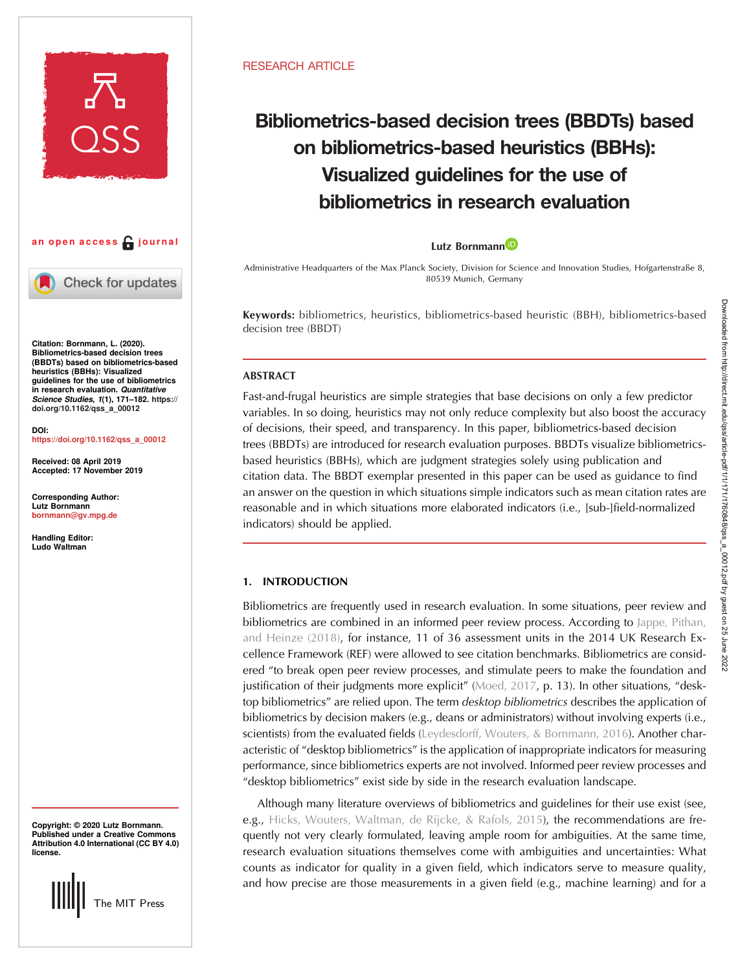

# an open access  $\bigcap$  journal

Check for updates

Citation: Bornmann, L. (2020). Bibliometrics-based decision trees (BBDTs) based on bibliometrics-based heuristics (BBHs): Visualized guidelines for the use of bibliometrics in research evaluation. Quantitative Science Studies, 1(1), 171–182. [https://](https://doi.org/10.1162/qss_a_00012) [doi.org/10.1162/qss\\_a\\_00012](https://doi.org/10.1162/qss_a_00012)

DOI: [https://doi.org/10.1162/qss\\_a\\_00012](https://doi.org/10.1162/qss_a_00012)

Received: 08 April 2019 Accepted: 17 November 2019

Corresponding Author: Lutz Bornmann [bornmann@gv.mpg.de](mailto:bornmann@gv.mpg.de)

Handling Editor: Ludo Waltman

# RESEARCH ARTICLE

# Bibliometrics-based decision trees (BBDTs) based on bibliometrics-based heuristics (BBHs): Visualized guidelines for the use of bibliometrics in research evaluation

# Lutz Bornmann<sup>1D</sup>

Administrative Headquarters of the Max Planck Society, Division for Science and Innovation Studies, Hofgartenstraße 8, 80539 Munich, Germany

Keywords: bibliometrics, heuristics, bibliometrics-based heuristic (BBH), bibliometrics-based decision tree (BBDT)

# **ABSTRACT**

Fast-and-frugal heuristics are simple strategies that base decisions on only a few predictor variables. In so doing, heuristics may not only reduce complexity but also boost the accuracy of decisions, their speed, and transparency. In this paper, bibliometrics-based decision trees (BBDTs) are introduced for research evaluation purposes. BBDTs visualize bibliometricsbased heuristics (BBHs), which are judgment strategies solely using publication and citation data. The BBDT exemplar presented in this paper can be used as guidance to find an answer on the question in which situations simple indicators such as mean citation rates are reasonable and in which situations more elaborated indicators (i.e., [sub-]field-normalized indicators) should be applied.

# 1. INTRODUCTION

Bibliometrics are frequently used in research evaluation. In some situations, peer review and bibliometrics are combined in an informed peer review process. According to [Jappe, Pithan,](#page-10-0) [and Heinze \(2018\),](#page-10-0) for instance, 11 of 36 assessment units in the 2014 UK Research Excellence Framework (REF) were allowed to see citation benchmarks. Bibliometrics are considered "to break open peer review processes, and stimulate peers to make the foundation and justification of their judgments more explicit" [\(Moed, 2017](#page-11-0), p. 13). In other situations, "desktop bibliometrics" are relied upon. The term desktop bibliometrics describes the application of bibliometrics by decision makers (e.g., deans or administrators) without involving experts (i.e., scientists) from the evaluated fields ([Leydesdorff, Wouters, & Bornmann, 2016](#page-11-0)). Another characteristic of "desktop bibliometrics" is the application of inappropriate indicators for measuring performance, since bibliometrics experts are not involved. Informed peer review processes and "desktop bibliometrics" exist side by side in the research evaluation landscape.

Although many literature overviews of bibliometrics and guidelines for their use exist (see, e.g., [Hicks, Wouters, Waltman, de Rijcke, & Rafols, 2015\)](#page-10-0), the recommendations are frequently not very clearly formulated, leaving ample room for ambiguities. At the same time, research evaluation situations themselves come with ambiguities and uncertainties: What counts as indicator for quality in a given field, which indicators serve to measure quality, and how precise are those measurements in a given field (e.g., machine learning) and for a

Copyright: © 2020 Lutz Bornmann. Published under a Creative Commons Attribution 4.0 International (CC BY 4.0) license.

The MIT Press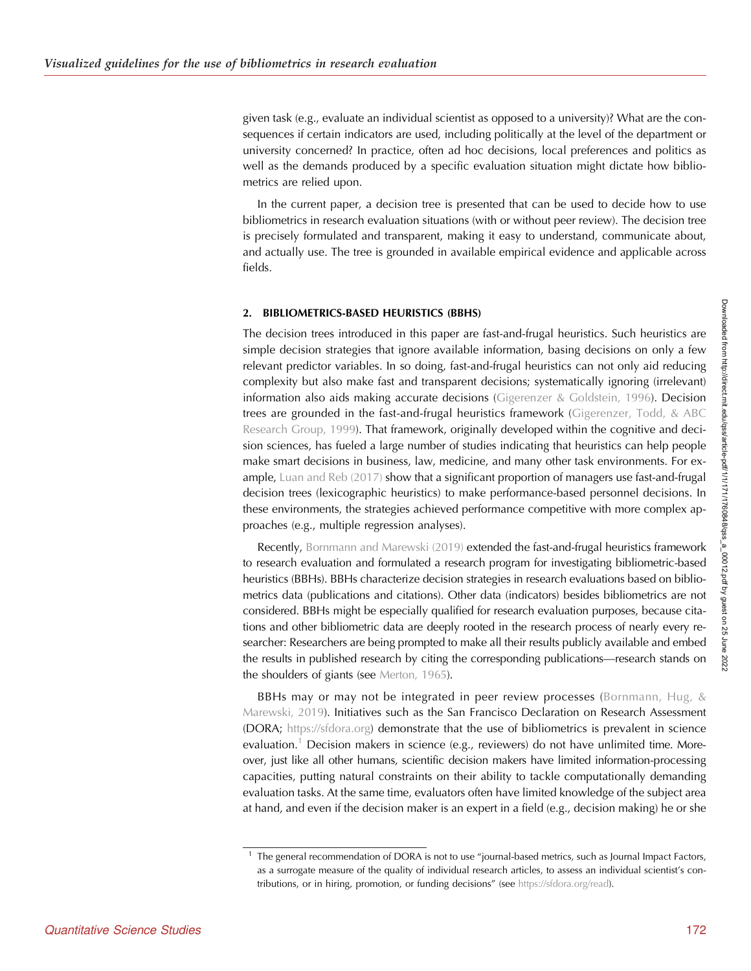given task (e.g., evaluate an individual scientist as opposed to a university)? What are the consequences if certain indicators are used, including politically at the level of the department or university concerned? In practice, often ad hoc decisions, local preferences and politics as well as the demands produced by a specific evaluation situation might dictate how bibliometrics are relied upon.

In the current paper, a decision tree is presented that can be used to decide how to use bibliometrics in research evaluation situations (with or without peer review). The decision tree is precisely formulated and transparent, making it easy to understand, communicate about, and actually use. The tree is grounded in available empirical evidence and applicable across fields.

# 2. BIBLIOMETRICS-BASED HEURISTICS (BBHS)

The decision trees introduced in this paper are fast-and-frugal heuristics. Such heuristics are simple decision strategies that ignore available information, basing decisions on only a few relevant predictor variables. In so doing, fast-and-frugal heuristics can not only aid reducing complexity but also make fast and transparent decisions; systematically ignoring (irrelevant) information also aids making accurate decisions ([Gigerenzer & Goldstein, 1996\)](#page-10-0). Decision trees are grounded in the fast-and-frugal heuristics framework [\(Gigerenzer, Todd, & ABC](#page-10-0) [Research Group, 1999\)](#page-10-0). That framework, originally developed within the cognitive and decision sciences, has fueled a large number of studies indicating that heuristics can help people make smart decisions in business, law, medicine, and many other task environments. For ex-ample, [Luan and Reb \(2017\)](#page-11-0) show that a significant proportion of managers use fast-and-frugal decision trees (lexicographic heuristics) to make performance-based personnel decisions. In these environments, the strategies achieved performance competitive with more complex approaches (e.g., multiple regression analyses).

Recently, [Bornmann and Marewski \(2019\)](#page-10-0) extended the fast-and-frugal heuristics framework to research evaluation and formulated a research program for investigating bibliometric-based heuristics (BBHs). BBHs characterize decision strategies in research evaluations based on bibliometrics data (publications and citations). Other data (indicators) besides bibliometrics are not considered. BBHs might be especially qualified for research evaluation purposes, because citations and other bibliometric data are deeply rooted in the research process of nearly every researcher: Researchers are being prompted to make all their results publicly available and embed the results in published research by citing the corresponding publications—research stands on the shoulders of giants (see [Merton, 1965](#page-11-0)).

BBHs may or may not be integrated in peer review processes (Bornmann, Hug,  $\&$ [Marewski, 2019](#page-10-0)). Initiatives such as the San Francisco Declaration on Research Assessment (DORA; <https://sfdora.org>) demonstrate that the use of bibliometrics is prevalent in science evaluation.<sup>1</sup> Decision makers in science (e.g., reviewers) do not have unlimited time. Moreover, just like all other humans, scientific decision makers have limited information-processing capacities, putting natural constraints on their ability to tackle computationally demanding evaluation tasks. At the same time, evaluators often have limited knowledge of the subject area at hand, and even if the decision maker is an expert in a field (e.g., decision making) he or she

<sup>1</sup> The general recommendation of DORA is not to use "journal-based metrics, such as Journal Impact Factors, as a surrogate measure of the quality of individual research articles, to assess an individual scientist's contributions, or in hiring, promotion, or funding decisions" (see <https://sfdora.org/read>).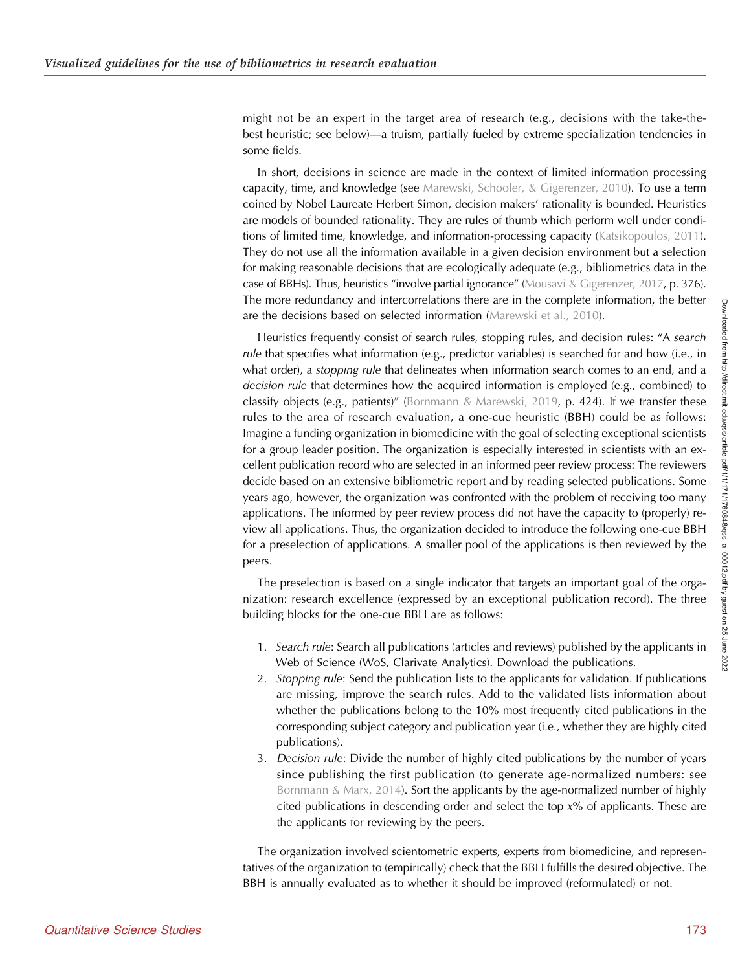might not be an expert in the target area of research (e.g., decisions with the take-thebest heuristic; see below)—a truism, partially fueled by extreme specialization tendencies in some fields.

In short, decisions in science are made in the context of limited information processing capacity, time, and knowledge (see [Marewski, Schooler, & Gigerenzer, 2010\)](#page-11-0). To use a term coined by Nobel Laureate Herbert Simon, decision makers' rationality is bounded. Heuristics are models of bounded rationality. They are rules of thumb which perform well under conditions of limited time, knowledge, and information-processing capacity [\(Katsikopoulos, 2011\)](#page-11-0). They do not use all the information available in a given decision environment but a selection for making reasonable decisions that are ecologically adequate (e.g., bibliometrics data in the case of BBHs). Thus, heuristics "involve partial ignorance" [\(Mousavi & Gigerenzer, 2017](#page-11-0), p. 376). The more redundancy and intercorrelations there are in the complete information, the better are the decisions based on selected information [\(Marewski et al., 2010](#page-11-0)).

Heuristics frequently consist of search rules, stopping rules, and decision rules: "A search rule that specifies what information (e.g., predictor variables) is searched for and how (i.e., in what order), a *stopping rule* that delineates when information search comes to an end, and a decision rule that determines how the acquired information is employed (e.g., combined) to classify objects (e.g., patients)" ([Bornmann & Marewski, 2019,](#page-10-0) p. 424). If we transfer these rules to the area of research evaluation, a one-cue heuristic (BBH) could be as follows: Imagine a funding organization in biomedicine with the goal of selecting exceptional scientists for a group leader position. The organization is especially interested in scientists with an excellent publication record who are selected in an informed peer review process: The reviewers decide based on an extensive bibliometric report and by reading selected publications. Some years ago, however, the organization was confronted with the problem of receiving too many applications. The informed by peer review process did not have the capacity to (properly) review all applications. Thus, the organization decided to introduce the following one-cue BBH for a preselection of applications. A smaller pool of the applications is then reviewed by the peers.

The preselection is based on a single indicator that targets an important goal of the organization: research excellence (expressed by an exceptional publication record). The three building blocks for the one-cue BBH are as follows:

- 1. Search rule: Search all publications (articles and reviews) published by the applicants in Web of Science (WoS, Clarivate Analytics). Download the publications.
- 2. Stopping rule: Send the publication lists to the applicants for validation. If publications are missing, improve the search rules. Add to the validated lists information about whether the publications belong to the 10% most frequently cited publications in the corresponding subject category and publication year (i.e., whether they are highly cited publications).
- 3. Decision rule: Divide the number of highly cited publications by the number of years since publishing the first publication (to generate age-normalized numbers: see [Bornmann & Marx, 2014](#page-10-0)). Sort the applicants by the age-normalized number of highly cited publications in descending order and select the top x% of applicants. These are the applicants for reviewing by the peers.

The organization involved scientometric experts, experts from biomedicine, and representatives of the organization to (empirically) check that the BBH fulfills the desired objective. The BBH is annually evaluated as to whether it should be improved (reformulated) or not.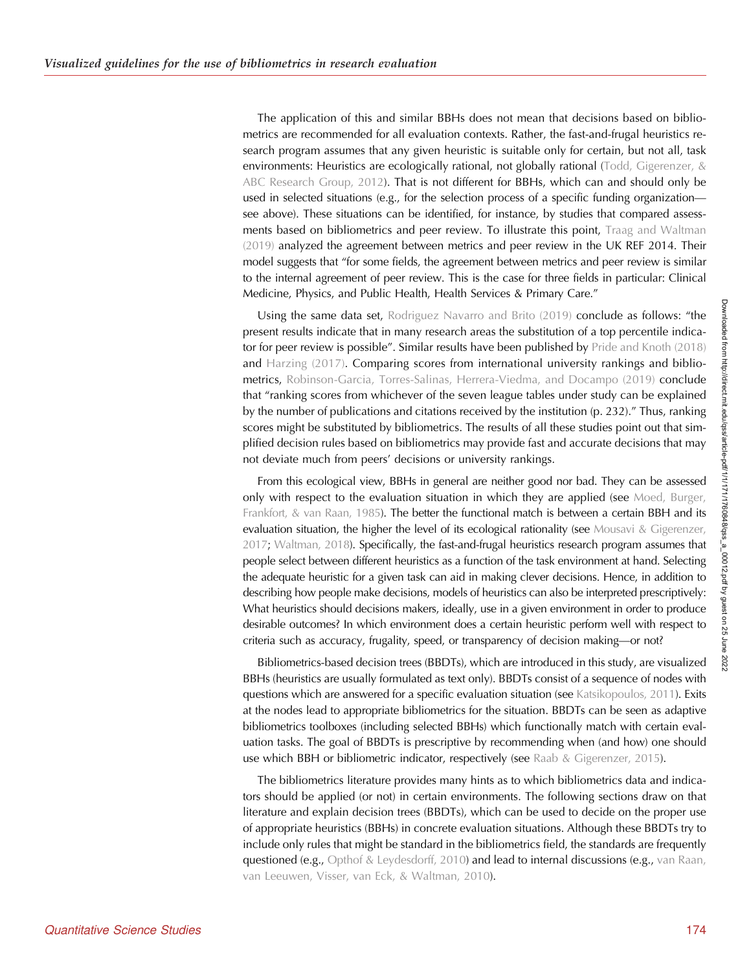The application of this and similar BBHs does not mean that decisions based on bibliometrics are recommended for all evaluation contexts. Rather, the fast-and-frugal heuristics research program assumes that any given heuristic is suitable only for certain, but not all, task environments: Heuristics are ecologically rational, not globally rational (Todd, Gigerenzer,  $\&$ [ABC Research Group, 2012](#page-11-0)). That is not different for BBHs, which can and should only be used in selected situations (e.g., for the selection process of a specific funding organization see above). These situations can be identified, for instance, by studies that compared assessments based on bibliometrics and peer review. To illustrate this point, [Traag and Waltman](#page-11-0) [\(2019\)](#page-11-0) analyzed the agreement between metrics and peer review in the UK REF 2014. Their model suggests that "for some fields, the agreement between metrics and peer review is similar to the internal agreement of peer review. This is the case for three fields in particular: Clinical Medicine, Physics, and Public Health, Health Services & Primary Care."

Using the same data set, [Rodriguez Navarro and Brito \(2019\)](#page-11-0) conclude as follows: "the present results indicate that in many research areas the substitution of a top percentile indicator for peer review is possible". Similar results have been published by [Pride and Knoth \(2018\)](#page-11-0) and [Harzing \(2017\)](#page-10-0). Comparing scores from international university rankings and biblio-metrics, [Robinson-Garcia, Torres-Salinas, Herrera-Viedma, and Docampo \(2019\)](#page-11-0) conclude that "ranking scores from whichever of the seven league tables under study can be explained by the number of publications and citations received by the institution (p. 232)." Thus, ranking scores might be substituted by bibliometrics. The results of all these studies point out that simplified decision rules based on bibliometrics may provide fast and accurate decisions that may not deviate much from peers' decisions or university rankings.

From this ecological view, BBHs in general are neither good nor bad. They can be assessed only with respect to the evaluation situation in which they are applied (see [Moed, Burger,](#page-11-0) [Frankfort, & van Raan, 1985](#page-11-0)). The better the functional match is between a certain BBH and its evaluation situation, the higher the level of its ecological rationality (see [Mousavi & Gigerenzer,](#page-11-0) [2017](#page-11-0); [Waltman, 2018](#page-11-0)). Specifically, the fast-and-frugal heuristics research program assumes that people select between different heuristics as a function of the task environment at hand. Selecting the adequate heuristic for a given task can aid in making clever decisions. Hence, in addition to describing how people make decisions, models of heuristics can also be interpreted prescriptively: What heuristics should decisions makers, ideally, use in a given environment in order to produce desirable outcomes? In which environment does a certain heuristic perform well with respect to criteria such as accuracy, frugality, speed, or transparency of decision making—or not?

Bibliometrics-based decision trees (BBDTs), which are introduced in this study, are visualized BBHs (heuristics are usually formulated as text only). BBDTs consist of a sequence of nodes with questions which are answered for a specific evaluation situation (see [Katsikopoulos, 2011\)](#page-11-0). Exits at the nodes lead to appropriate bibliometrics for the situation. BBDTs can be seen as adaptive bibliometrics toolboxes (including selected BBHs) which functionally match with certain evaluation tasks. The goal of BBDTs is prescriptive by recommending when (and how) one should use which BBH or bibliometric indicator, respectively (see [Raab & Gigerenzer, 2015](#page-11-0)).

The bibliometrics literature provides many hints as to which bibliometrics data and indicators should be applied (or not) in certain environments. The following sections draw on that literature and explain decision trees (BBDTs), which can be used to decide on the proper use of appropriate heuristics (BBHs) in concrete evaluation situations. Although these BBDTs try to include only rules that might be standard in the bibliometrics field, the standards are frequently questioned (e.g., [Opthof & Leydesdorff, 2010\)](#page-11-0) and lead to internal discussions (e.g., [van Raan,](#page-11-0) [van Leeuwen, Visser, van Eck, & Waltman, 2010](#page-11-0)).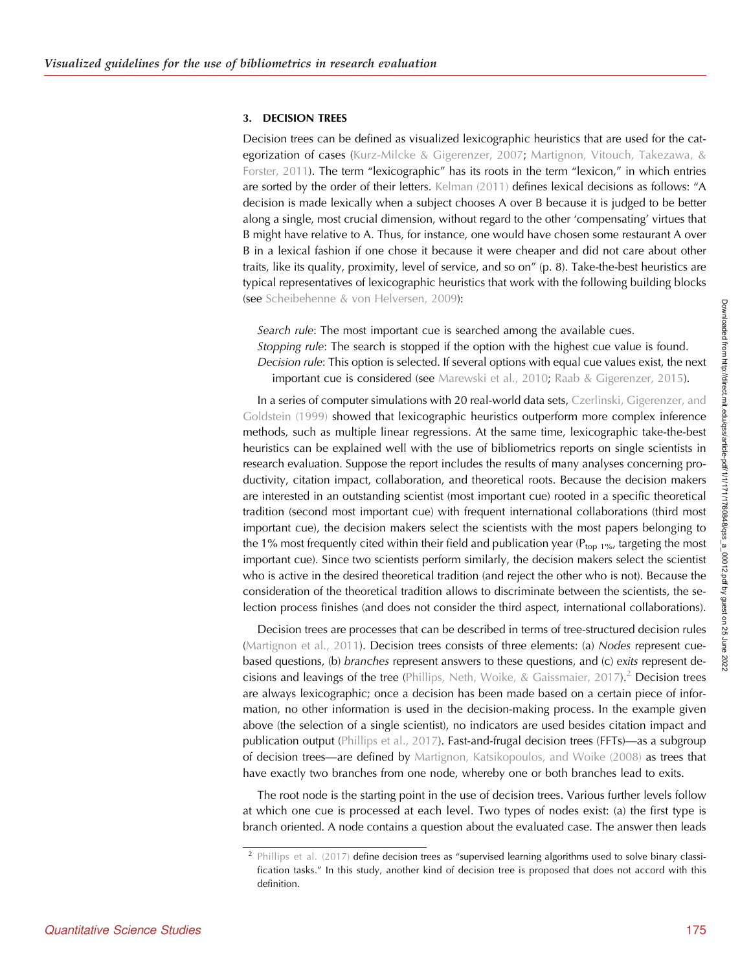# 3. DECISION TREES

Decision trees can be defined as visualized lexicographic heuristics that are used for the categorization of cases [\(Kurz-Milcke & Gigerenzer, 2007;](#page-11-0) [Martignon, Vitouch, Takezawa, &](#page-11-0) [Forster, 2011\)](#page-11-0). The term "lexicographic" has its roots in the term "lexicon," in which entries are sorted by the order of their letters. [Kelman \(2011\)](#page-11-0) defines lexical decisions as follows: "A decision is made lexically when a subject chooses A over B because it is judged to be better along a single, most crucial dimension, without regard to the other 'compensating' virtues that B might have relative to A. Thus, for instance, one would have chosen some restaurant A over B in a lexical fashion if one chose it because it were cheaper and did not care about other traits, like its quality, proximity, level of service, and so on" (p. 8). Take-the-best heuristics are typical representatives of lexicographic heuristics that work with the following building blocks (see [Scheibehenne & von Helversen, 2009\)](#page-11-0):

Search rule: The most important cue is searched among the available cues.

Stopping rule: The search is stopped if the option with the highest cue value is found. Decision rule: This option is selected. If several options with equal cue values exist, the next important cue is considered (see [Marewski et al., 2010;](#page-11-0) [Raab & Gigerenzer, 2015](#page-11-0)).

In a series of computer simulations with 20 real-world data sets, [Czerlinski, Gigerenzer, and](#page-10-0) [Goldstein \(1999\)](#page-10-0) showed that lexicographic heuristics outperform more complex inference methods, such as multiple linear regressions. At the same time, lexicographic take-the-best heuristics can be explained well with the use of bibliometrics reports on single scientists in research evaluation. Suppose the report includes the results of many analyses concerning productivity, citation impact, collaboration, and theoretical roots. Because the decision makers are interested in an outstanding scientist (most important cue) rooted in a specific theoretical tradition (second most important cue) with frequent international collaborations (third most important cue), the decision makers select the scientists with the most papers belonging to the 1% most frequently cited within their field and publication year ( $P_{top 1\%}$ , targeting the most important cue). Since two scientists perform similarly, the decision makers select the scientist who is active in the desired theoretical tradition (and reject the other who is not). Because the consideration of the theoretical tradition allows to discriminate between the scientists, the selection process finishes (and does not consider the third aspect, international collaborations).

Decision trees are processes that can be described in terms of tree-structured decision rules ([Martignon et al., 2011](#page-11-0)). Decision trees consists of three elements: (a) Nodes represent cuebased questions, (b) branches represent answers to these questions, and (c) exits represent de-cisions and leavings of the tree ([Phillips, Neth, Woike, & Gaissmaier, 2017\)](#page-11-0).<sup>2</sup> Decision trees are always lexicographic; once a decision has been made based on a certain piece of information, no other information is used in the decision-making process. In the example given above (the selection of a single scientist), no indicators are used besides citation impact and publication output [\(Phillips et al., 2017](#page-11-0)). Fast-and-frugal decision trees (FFTs)—as a subgroup of decision trees—are defined by [Martignon, Katsikopoulos, and Woike \(2008\)](#page-11-0) as trees that have exactly two branches from one node, whereby one or both branches lead to exits.

The root node is the starting point in the use of decision trees. Various further levels follow at which one cue is processed at each level. Two types of nodes exist: (a) the first type is branch oriented. A node contains a question about the evaluated case. The answer then leads

<sup>&</sup>lt;sup>2</sup> [Phillips et al. \(2017\)](#page-11-0) define decision trees as "supervised learning algorithms used to solve binary classification tasks." In this study, another kind of decision tree is proposed that does not accord with this definition.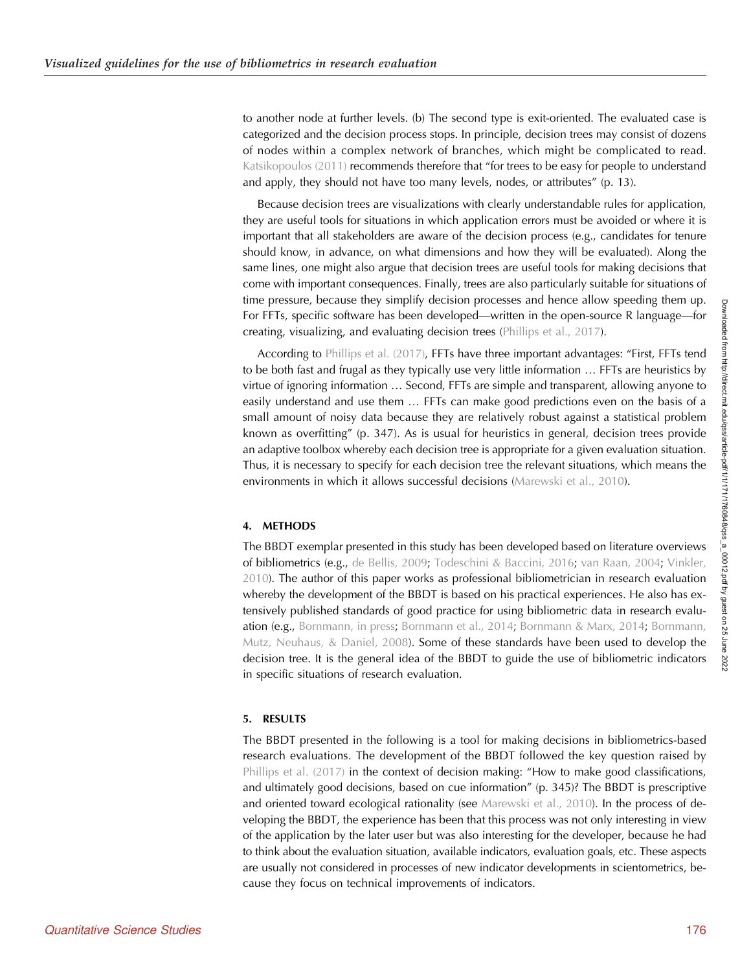to another node at further levels. (b) The second type is exit-oriented. The evaluated case is categorized and the decision process stops. In principle, decision trees may consist of dozens of nodes within a complex network of branches, which might be complicated to read. [Katsikopoulos \(2011\)](#page-11-0) recommends therefore that "for trees to be easy for people to understand and apply, they should not have too many levels, nodes, or attributes" (p. 13).

Because decision trees are visualizations with clearly understandable rules for application, they are useful tools for situations in which application errors must be avoided or where it is important that all stakeholders are aware of the decision process (e.g., candidates for tenure should know, in advance, on what dimensions and how they will be evaluated). Along the same lines, one might also argue that decision trees are useful tools for making decisions that come with important consequences. Finally, trees are also particularly suitable for situations of time pressure, because they simplify decision processes and hence allow speeding them up. For FFTs, specific software has been developed—written in the open-source R language—for creating, visualizing, and evaluating decision trees ([Phillips et al., 2017\)](#page-11-0).

According to [Phillips et al. \(2017\),](#page-11-0) FFTs have three important advantages: "First, FFTs tend to be both fast and frugal as they typically use very little information … FFTs are heuristics by virtue of ignoring information … Second, FFTs are simple and transparent, allowing anyone to easily understand and use them … FFTs can make good predictions even on the basis of a small amount of noisy data because they are relatively robust against a statistical problem known as overfitting" (p. 347). As is usual for heuristics in general, decision trees provide an adaptive toolbox whereby each decision tree is appropriate for a given evaluation situation. Thus, it is necessary to specify for each decision tree the relevant situations, which means the environments in which it allows successful decisions ([Marewski et al., 2010](#page-11-0)).

# 4. METHODS

The BBDT exemplar presented in this study has been developed based on literature overviews of bibliometrics (e.g., [de Bellis, 2009;](#page-10-0) [Todeschini & Baccini, 2016](#page-11-0); [van Raan, 2004;](#page-11-0) [Vinkler,](#page-11-0) [2010\)](#page-11-0). The author of this paper works as professional bibliometrician in research evaluation whereby the development of the BBDT is based on his practical experiences. He also has extensively published standards of good practice for using bibliometric data in research evaluation (e.g., [Bornmann, in press](#page-10-0); [Bornmann et al., 2014;](#page-10-0) [Bornmann & Marx, 2014;](#page-10-0) [Bornmann,](#page-10-0) [Mutz, Neuhaus, & Daniel, 2008](#page-10-0)). Some of these standards have been used to develop the decision tree. It is the general idea of the BBDT to guide the use of bibliometric indicators in specific situations of research evaluation.

# 5. RESULTS

The BBDT presented in the following is a tool for making decisions in bibliometrics-based research evaluations. The development of the BBDT followed the key question raised by [Phillips et al. \(2017\)](#page-11-0) in the context of decision making: "How to make good classifications, and ultimately good decisions, based on cue information" (p. 345)? The BBDT is prescriptive and oriented toward ecological rationality (see [Marewski et al., 2010\)](#page-11-0). In the process of developing the BBDT, the experience has been that this process was not only interesting in view of the application by the later user but was also interesting for the developer, because he had to think about the evaluation situation, available indicators, evaluation goals, etc. These aspects are usually not considered in processes of new indicator developments in scientometrics, because they focus on technical improvements of indicators.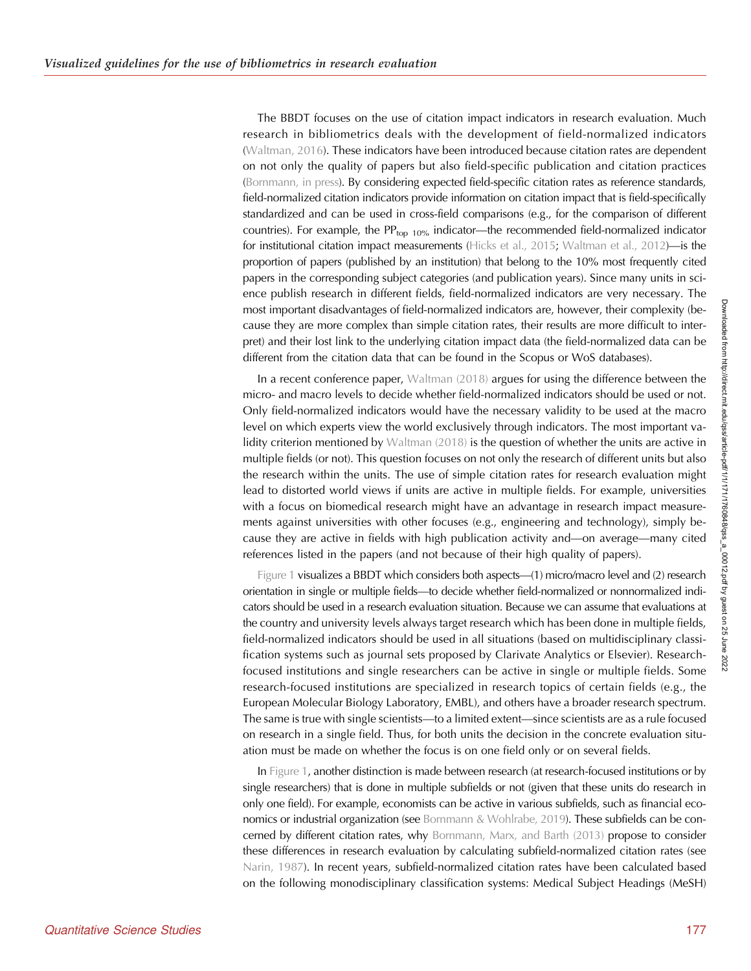The BBDT focuses on the use of citation impact indicators in research evaluation. Much research in bibliometrics deals with the development of field-normalized indicators ([Waltman, 2016\)](#page-11-0). These indicators have been introduced because citation rates are dependent on not only the quality of papers but also field-specific publication and citation practices [\(Bornmann, in press](#page-10-0)). By considering expected field-specific citation rates as reference standards, field-normalized citation indicators provide information on citation impact that is field-specifically standardized and can be used in cross-field comparisons (e.g., for the comparison of different countries). For example, the  $PP_{top 10\%}$  indicator—the recommended field-normalized indicator for institutional citation impact measurements ([Hicks et al., 2015](#page-10-0); [Waltman et al., 2012](#page-11-0))—is the proportion of papers (published by an institution) that belong to the 10% most frequently cited papers in the corresponding subject categories (and publication years). Since many units in science publish research in different fields, field-normalized indicators are very necessary. The most important disadvantages of field-normalized indicators are, however, their complexity (because they are more complex than simple citation rates, their results are more difficult to interpret) and their lost link to the underlying citation impact data (the field-normalized data can be different from the citation data that can be found in the Scopus or WoS databases).

In a recent conference paper, [Waltman \(2018\)](#page-11-0) argues for using the difference between the micro- and macro levels to decide whether field-normalized indicators should be used or not. Only field-normalized indicators would have the necessary validity to be used at the macro level on which experts view the world exclusively through indicators. The most important va-lidity criterion mentioned by [Waltman \(2018\)](#page-11-0) is the question of whether the units are active in multiple fields (or not). This question focuses on not only the research of different units but also the research within the units. The use of simple citation rates for research evaluation might lead to distorted world views if units are active in multiple fields. For example, universities with a focus on biomedical research might have an advantage in research impact measurements against universities with other focuses (e.g., engineering and technology), simply because they are active in fields with high publication activity and—on average—many cited references listed in the papers (and not because of their high quality of papers).

[Figure 1](#page-7-0) visualizes a BBDT which considers both aspects—(1) micro/macro level and (2) research orientation in single or multiple fields—to decide whether field-normalized or nonnormalized indicators should be used in a research evaluation situation. Because we can assume that evaluations at the country and university levels always target research which has been done in multiple fields, field-normalized indicators should be used in all situations (based on multidisciplinary classification systems such as journal sets proposed by Clarivate Analytics or Elsevier). Researchfocused institutions and single researchers can be active in single or multiple fields. Some research-focused institutions are specialized in research topics of certain fields (e.g., the European Molecular Biology Laboratory, EMBL), and others have a broader research spectrum. The same is true with single scientists—to a limited extent—since scientists are as a rule focused on research in a single field. Thus, for both units the decision in the concrete evaluation situation must be made on whether the focus is on one field only or on several fields.

In [Figure 1](#page-7-0), another distinction is made between research (at research-focused institutions or by single researchers) that is done in multiple subfields or not (given that these units do research in only one field). For example, economists can be active in various subfields, such as financial economics or industrial organization (see [Bornmann & Wohlrabe, 2019](#page-10-0)). These subfields can be concerned by different citation rates, why [Bornmann, Marx, and Barth \(2013\)](#page-10-0) propose to consider these differences in research evaluation by calculating subfield-normalized citation rates (see [Narin, 1987\)](#page-11-0). In recent years, subfield-normalized citation rates have been calculated based on the following monodisciplinary classification systems: Medical Subject Headings (MeSH)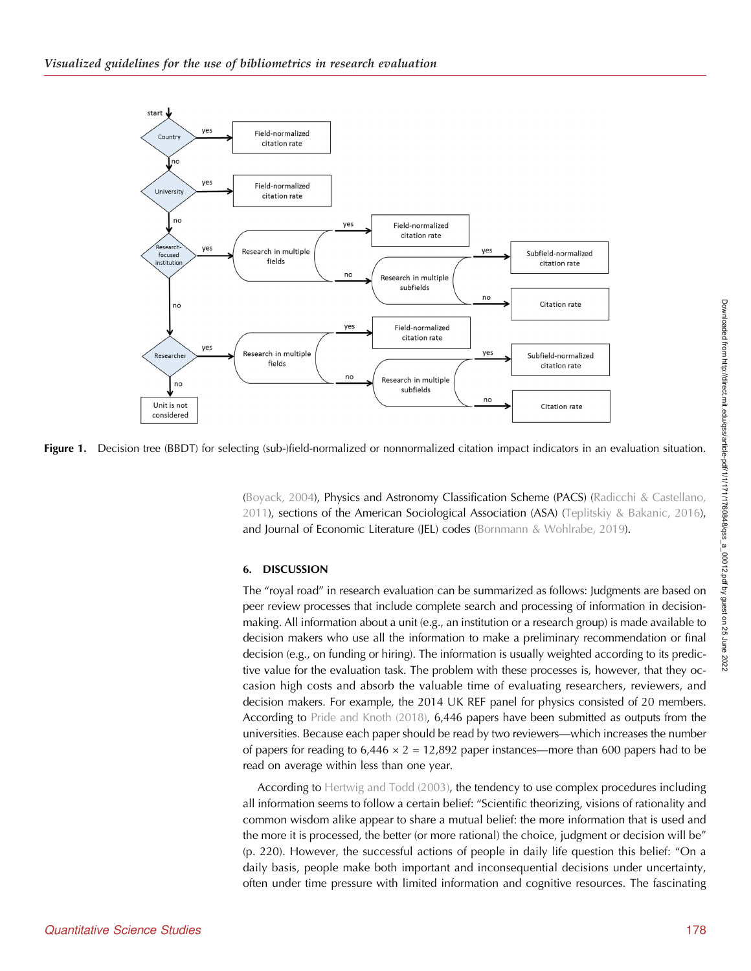<span id="page-7-0"></span>

Figure 1. Decision tree (BBDT) for selecting (sub-)field-normalized or nonnormalized citation impact indicators in an evaluation situation.

[\(Boyack, 2004](#page-10-0)), Physics and Astronomy Classification Scheme (PACS) [\(Radicchi & Castellano,](#page-11-0) [2011\)](#page-11-0), sections of the American Sociological Association (ASA) ([Teplitskiy & Bakanic, 2016\)](#page-11-0), and Journal of Economic Literature (JEL) codes [\(Bornmann & Wohlrabe, 2019](#page-10-0)).

# 6. DISCUSSION

The "royal road" in research evaluation can be summarized as follows: Judgments are based on peer review processes that include complete search and processing of information in decisionmaking. All information about a unit (e.g., an institution or a research group) is made available to decision makers who use all the information to make a preliminary recommendation or final decision (e.g., on funding or hiring). The information is usually weighted according to its predictive value for the evaluation task. The problem with these processes is, however, that they occasion high costs and absorb the valuable time of evaluating researchers, reviewers, and decision makers. For example, the 2014 UK REF panel for physics consisted of 20 members. According to [Pride and Knoth \(2018\)](#page-11-0), 6,446 papers have been submitted as outputs from the universities. Because each paper should be read by two reviewers—which increases the number of papers for reading to  $6,446 \times 2 = 12,892$  paper instances—more than 600 papers had to be read on average within less than one year.

According to [Hertwig and Todd \(2003\),](#page-10-0) the tendency to use complex procedures including all information seems to follow a certain belief: "Scientific theorizing, visions of rationality and common wisdom alike appear to share a mutual belief: the more information that is used and the more it is processed, the better (or more rational) the choice, judgment or decision will be" (p. 220). However, the successful actions of people in daily life question this belief: "On a daily basis, people make both important and inconsequential decisions under uncertainty, often under time pressure with limited information and cognitive resources. The fascinating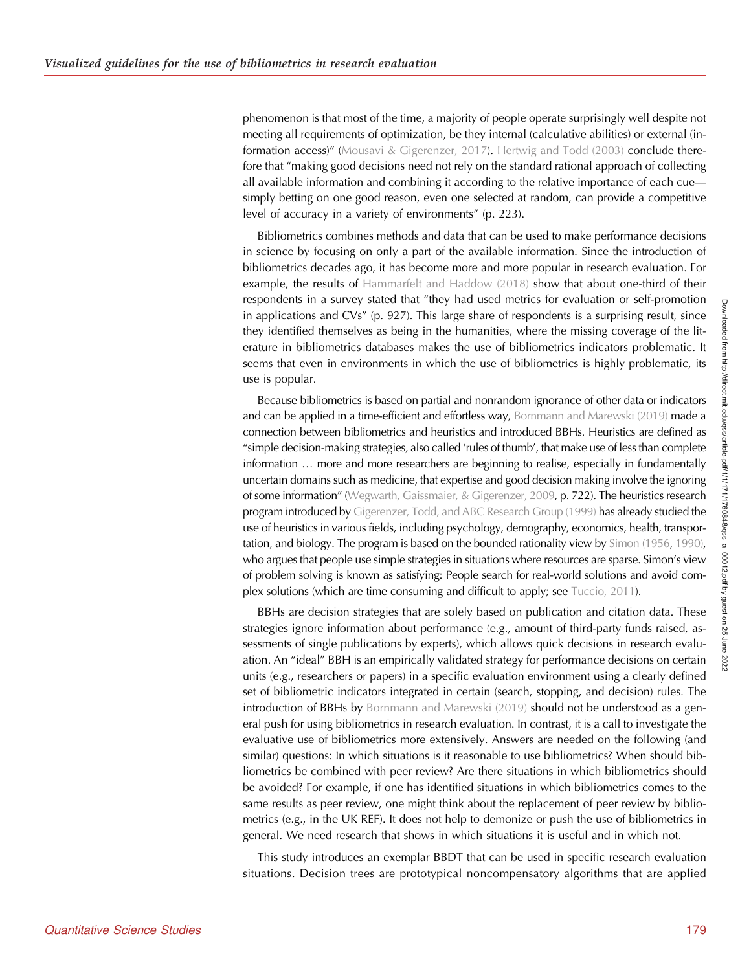phenomenon is that most of the time, a majority of people operate surprisingly well despite not meeting all requirements of optimization, be they internal (calculative abilities) or external (information access)" ([Mousavi & Gigerenzer, 2017](#page-11-0)). [Hertwig and Todd \(2003\)](#page-10-0) conclude therefore that "making good decisions need not rely on the standard rational approach of collecting all available information and combining it according to the relative importance of each cue simply betting on one good reason, even one selected at random, can provide a competitive level of accuracy in a variety of environments" (p. 223).

Bibliometrics combines methods and data that can be used to make performance decisions in science by focusing on only a part of the available information. Since the introduction of bibliometrics decades ago, it has become more and more popular in research evaluation. For example, the results of [Hammarfelt and Haddow \(2018\)](#page-10-0) show that about one-third of their respondents in a survey stated that "they had used metrics for evaluation or self-promotion in applications and CVs" (p. 927). This large share of respondents is a surprising result, since they identified themselves as being in the humanities, where the missing coverage of the literature in bibliometrics databases makes the use of bibliometrics indicators problematic. It seems that even in environments in which the use of bibliometrics is highly problematic, its use is popular.

Because bibliometrics is based on partial and nonrandom ignorance of other data or indicators and can be applied in a time-efficient and effortless way, [Bornmann and Marewski \(2019\)](#page-10-0) made a connection between bibliometrics and heuristics and introduced BBHs. Heuristics are defined as "simple decision-making strategies, also called 'rules of thumb', that make use of less than complete information … more and more researchers are beginning to realise, especially in fundamentally uncertain domains such as medicine, that expertise and good decision making involve the ignoring of some information" ([Wegwarth, Gaissmaier, & Gigerenzer, 2009](#page-11-0), p. 722). The heuristics research program introduced by [Gigerenzer, Todd, and ABC Research Group \(1999\)](#page-10-0) has already studied the use of heuristics in various fields, including psychology, demography, economics, health, transportation, and biology. The program is based on the bounded rationality view by [Simon \(1956](#page-11-0), [1990\)](#page-11-0), who argues that people use simple strategies in situations where resources are sparse. Simon's view of problem solving is known as satisfying: People search for real-world solutions and avoid complex solutions (which are time consuming and difficult to apply; see [Tuccio, 2011](#page-11-0)).

BBHs are decision strategies that are solely based on publication and citation data. These strategies ignore information about performance (e.g., amount of third-party funds raised, assessments of single publications by experts), which allows quick decisions in research evaluation. An "ideal" BBH is an empirically validated strategy for performance decisions on certain units (e.g., researchers or papers) in a specific evaluation environment using a clearly defined set of bibliometric indicators integrated in certain (search, stopping, and decision) rules. The introduction of BBHs by [Bornmann and Marewski \(2019\)](#page-10-0) should not be understood as a general push for using bibliometrics in research evaluation. In contrast, it is a call to investigate the evaluative use of bibliometrics more extensively. Answers are needed on the following (and similar) questions: In which situations is it reasonable to use bibliometrics? When should bibliometrics be combined with peer review? Are there situations in which bibliometrics should be avoided? For example, if one has identified situations in which bibliometrics comes to the same results as peer review, one might think about the replacement of peer review by bibliometrics (e.g., in the UK REF). It does not help to demonize or push the use of bibliometrics in general. We need research that shows in which situations it is useful and in which not.

This study introduces an exemplar BBDT that can be used in specific research evaluation situations. Decision trees are prototypical noncompensatory algorithms that are applied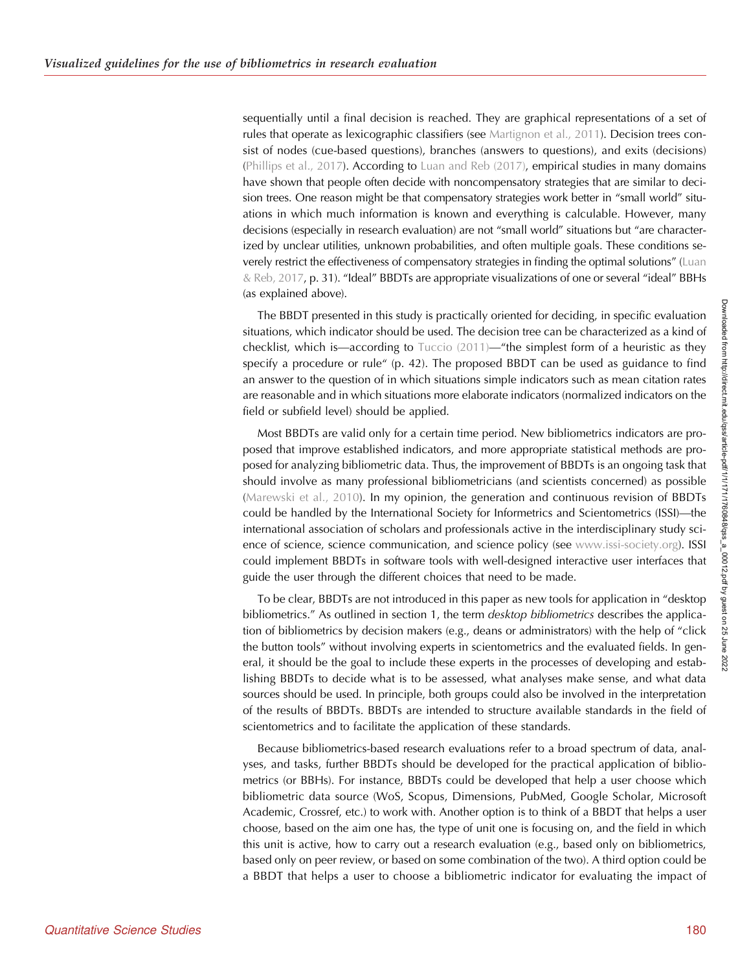sequentially until a final decision is reached. They are graphical representations of a set of rules that operate as lexicographic classifiers (see [Martignon et al., 2011\)](#page-11-0). Decision trees consist of nodes (cue-based questions), branches (answers to questions), and exits (decisions) ([Phillips et al., 2017\)](#page-11-0). According to [Luan and Reb \(2017\),](#page-11-0) empirical studies in many domains have shown that people often decide with noncompensatory strategies that are similar to decision trees. One reason might be that compensatory strategies work better in "small world" situations in which much information is known and everything is calculable. However, many decisions (especially in research evaluation) are not "small world" situations but "are characterized by unclear utilities, unknown probabilities, and often multiple goals. These conditions severely restrict the effectiveness of compensatory strategies in finding the optimal solutions" [\(Luan](#page-11-0) [& Reb, 2017,](#page-11-0) p. 31). "Ideal" BBDTs are appropriate visualizations of one or several "ideal" BBHs (as explained above).

The BBDT presented in this study is practically oriented for deciding, in specific evaluation situations, which indicator should be used. The decision tree can be characterized as a kind of checklist, which is—according to Tuccio  $(2011)$ —"the simplest form of a heuristic as they specify a procedure or rule" (p. 42). The proposed BBDT can be used as guidance to find an answer to the question of in which situations simple indicators such as mean citation rates are reasonable and in which situations more elaborate indicators (normalized indicators on the field or subfield level) should be applied.

Most BBDTs are valid only for a certain time period. New bibliometrics indicators are proposed that improve established indicators, and more appropriate statistical methods are proposed for analyzing bibliometric data. Thus, the improvement of BBDTs is an ongoing task that should involve as many professional bibliometricians (and scientists concerned) as possible ([Marewski et al., 2010\)](#page-11-0). In my opinion, the generation and continuous revision of BBDTs could be handled by the International Society for Informetrics and Scientometrics (ISSI)—the international association of scholars and professionals active in the interdisciplinary study science of science, science communication, and science policy (see [www.issi-society.org](http://www.issi-society.org)). ISSI could implement BBDTs in software tools with well-designed interactive user interfaces that guide the user through the different choices that need to be made.

To be clear, BBDTs are not introduced in this paper as new tools for application in "desktop bibliometrics." As outlined in section 1, the term *desktop bibliometrics* describes the application of bibliometrics by decision makers (e.g., deans or administrators) with the help of "click the button tools" without involving experts in scientometrics and the evaluated fields. In general, it should be the goal to include these experts in the processes of developing and establishing BBDTs to decide what is to be assessed, what analyses make sense, and what data sources should be used. In principle, both groups could also be involved in the interpretation of the results of BBDTs. BBDTs are intended to structure available standards in the field of scientometrics and to facilitate the application of these standards.

Because bibliometrics-based research evaluations refer to a broad spectrum of data, analyses, and tasks, further BBDTs should be developed for the practical application of bibliometrics (or BBHs). For instance, BBDTs could be developed that help a user choose which bibliometric data source (WoS, Scopus, Dimensions, PubMed, Google Scholar, Microsoft Academic, Crossref, etc.) to work with. Another option is to think of a BBDT that helps a user choose, based on the aim one has, the type of unit one is focusing on, and the field in which this unit is active, how to carry out a research evaluation (e.g., based only on bibliometrics, based only on peer review, or based on some combination of the two). A third option could be a BBDT that helps a user to choose a bibliometric indicator for evaluating the impact of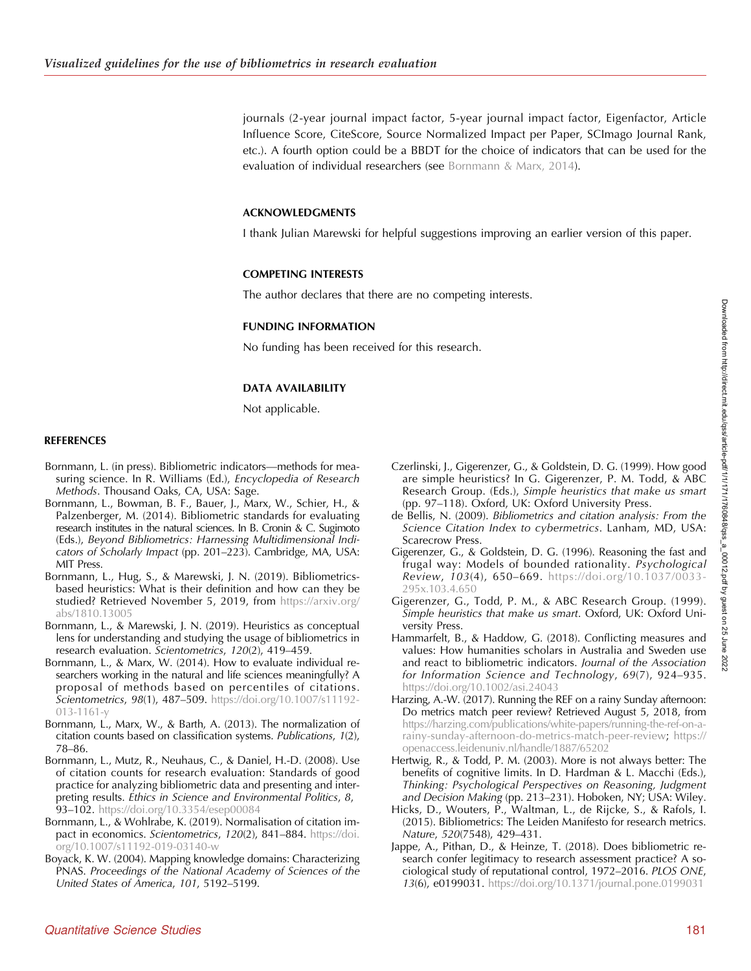<span id="page-10-0"></span>journals (2-year journal impact factor, 5-year journal impact factor, Eigenfactor, Article Influence Score, CiteScore, Source Normalized Impact per Paper, SCImago Journal Rank, etc.). A fourth option could be a BBDT for the choice of indicators that can be used for the evaluation of individual researchers (see Bornmann & Marx, 2014).

# ACKNOWLEDGMENTS

I thank Julian Marewski for helpful suggestions improving an earlier version of this paper.

# COMPETING INTERESTS

The author declares that there are no competing interests.

# FUNDING INFORMATION

No funding has been received for this research.

# DATA AVAILABILITY

Not applicable.

# **REFERENCES**

- Bornmann, L. (in press). Bibliometric indicators—methods for measuring science. In R. Williams (Ed.), Encyclopedia of Research Methods. Thousand Oaks, CA, USA: Sage.
- Bornmann, L., Bowman, B. F., Bauer, J., Marx, W., Schier, H., & Palzenberger, M. (2014). Bibliometric standards for evaluating research institutes in the natural sciences. In B. Cronin & C. Sugimoto (Eds.), Beyond Bibliometrics: Harnessing Multidimensional Indicators of Scholarly Impact (pp. 201–223). Cambridge, MA, USA: MIT Press.
- Bornmann, L., Hug, S., & Marewski, J. N. (2019). Bibliometricsbased heuristics: What is their definition and how can they be studied? Retrieved November 5, 2019, from [https://arxiv.org/](https://arxiv.org/abs/1810.13005) [abs/1810.13005](https://arxiv.org/abs/1810.13005)
- Bornmann, L., & Marewski, J. N. (2019). Heuristics as conceptual lens for understanding and studying the usage of bibliometrics in research evaluation. Scientometrics, 120(2), 419–459.
- Bornmann, L., & Marx, W. (2014). How to evaluate individual researchers working in the natural and life sciences meaningfully? A proposal of methods based on percentiles of citations. Scientometrics, 98(1), 487-509. [https://doi.org/10.1007/s11192-](https://doi.org/10.1007/s11192-013-1161-y) [013-1161-y](https://doi.org/10.1007/s11192-013-1161-y)
- Bornmann, L., Marx, W., & Barth, A. (2013). The normalization of citation counts based on classification systems. Publications, 1(2), 78–86.
- Bornmann, L., Mutz, R., Neuhaus, C., & Daniel, H.-D. (2008). Use of citation counts for research evaluation: Standards of good practice for analyzing bibliometric data and presenting and interpreting results. Ethics in Science and Environmental Politics, 8, 93–102. <https://doi.org/10.3354/esep00084>
- Bornmann, L., & Wohlrabe, K. (2019). Normalisation of citation impact in economics. Scientometrics, 120(2), 841-884. [https://doi.](https://doi.org/10.1007/s11192-019-03140-w) [org/10.1007/s11192-019-03140-w](https://doi.org/10.1007/s11192-019-03140-w)
- Boyack, K. W. (2004). Mapping knowledge domains: Characterizing PNAS. Proceedings of the National Academy of Sciences of the United States of America, 101, 5192–5199.
- Czerlinski, J., Gigerenzer, G., & Goldstein, D. G. (1999). How good are simple heuristics? In G. Gigerenzer, P. M. Todd, & ABC Research Group. (Eds.), Simple heuristics that make us smart (pp. 97–118). Oxford, UK: Oxford University Press.
- de Bellis, N. (2009). Bibliometrics and citation analysis: From the Science Citation Index to cybermetrics. Lanham, MD, USA: Scarecrow Press.
- Gigerenzer, G., & Goldstein, D. G. (1996). Reasoning the fast and frugal way: Models of bounded rationality. Psychological Review, 103(4), 650–669. [https://doi.org/10.1037/0033-](https://doi.org/10.1037/0033-295x.103.4.650) [295x.103.4.650](https://doi.org/10.1037/0033-295x.103.4.650)
- Gigerenzer, G., Todd, P. M., & ABC Research Group. (1999). Simple heuristics that make us smart. Oxford, UK: Oxford University Press.
- Hammarfelt, B., & Haddow, G. (2018). Conflicting measures and values: How humanities scholars in Australia and Sweden use and react to bibliometric indicators. Journal of the Association for Information Science and Technology, 69(7), 924–935. <https://doi.org/10.1002/asi.24043>
- Harzing, A.-W. (2017). Running the REF on a rainy Sunday afternoon: Do metrics match peer review? Retrieved August 5, 2018, from [https://harzing.com/publications/white-papers/running-the-ref-on-a](https://harzing.com/publications/white-papers/running-the-ref-on-a-rainy-sunday-afternoon-do-metrics-match-peer-review)[rainy-sunday-afternoon-do-metrics-match-peer-review](https://harzing.com/publications/white-papers/running-the-ref-on-a-rainy-sunday-afternoon-do-metrics-match-peer-review); [https://](https://openaccess.leidenuniv.nl/handle/1887/65202) [openaccess.leidenuniv.nl/handle/1887/65202](https://openaccess.leidenuniv.nl/handle/1887/65202)
- Hertwig, R., & Todd, P. M. (2003). More is not always better: The benefits of cognitive limits. In D. Hardman & L. Macchi (Eds.), Thinking: Psychological Perspectives on Reasoning, Judgment and Decision Making (pp. 213–231). Hoboken, NY; USA: Wiley.
- Hicks, D., Wouters, P., Waltman, L., de Rijcke, S., & Rafols, I. (2015). Bibliometrics: The Leiden Manifesto for research metrics. Nature, 520(7548), 429–431.
- Jappe, A., Pithan, D., & Heinze, T. (2018). Does bibliometric research confer legitimacy to research assessment practice? A sociological study of reputational control, 1972–2016. PLOS ONE, 13(6), e0199031. <https://doi.org/10.1371/journal.pone.0199031>